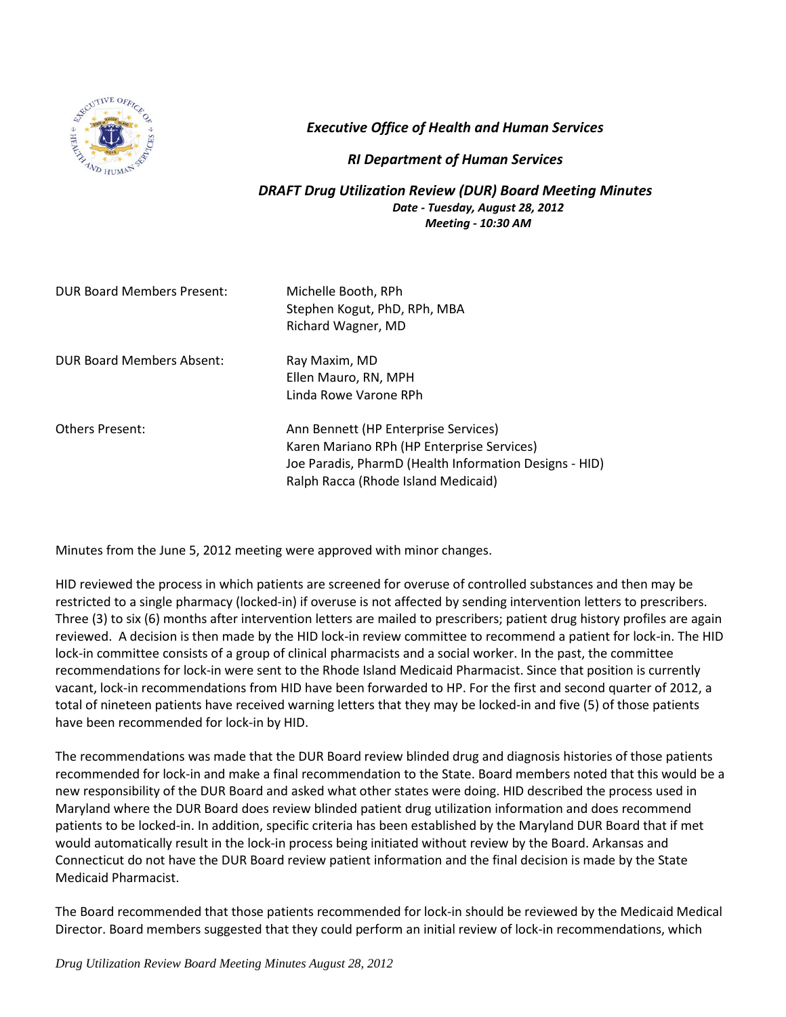

*Executive Office of Health and Human Services*

## *RI Department of Human Services*

## *DRAFT Drug Utilization Review (DUR) Board Meeting Minutes Date - Tuesday, August 28, 2012 Meeting - 10:30 AM*

| <b>DUR Board Members Present:</b> | Michelle Booth, RPh<br>Stephen Kogut, PhD, RPh, MBA<br>Richard Wagner, MD                                                                                                           |
|-----------------------------------|-------------------------------------------------------------------------------------------------------------------------------------------------------------------------------------|
| DUR Board Members Absent:         | Ray Maxim, MD<br>Ellen Mauro, RN, MPH<br>Linda Rowe Varone RPh                                                                                                                      |
| <b>Others Present:</b>            | Ann Bennett (HP Enterprise Services)<br>Karen Mariano RPh (HP Enterprise Services)<br>Joe Paradis, PharmD (Health Information Designs - HID)<br>Ralph Racca (Rhode Island Medicaid) |

Minutes from the June 5, 2012 meeting were approved with minor changes.

HID reviewed the process in which patients are screened for overuse of controlled substances and then may be restricted to a single pharmacy (locked-in) if overuse is not affected by sending intervention letters to prescribers. Three (3) to six (6) months after intervention letters are mailed to prescribers; patient drug history profiles are again reviewed. A decision is then made by the HID lock-in review committee to recommend a patient for lock-in. The HID lock-in committee consists of a group of clinical pharmacists and a social worker. In the past, the committee recommendations for lock-in were sent to the Rhode Island Medicaid Pharmacist. Since that position is currently vacant, lock-in recommendations from HID have been forwarded to HP. For the first and second quarter of 2012, a total of nineteen patients have received warning letters that they may be locked-in and five (5) of those patients have been recommended for lock-in by HID.

The recommendations was made that the DUR Board review blinded drug and diagnosis histories of those patients recommended for lock-in and make a final recommendation to the State. Board members noted that this would be a new responsibility of the DUR Board and asked what other states were doing. HID described the process used in Maryland where the DUR Board does review blinded patient drug utilization information and does recommend patients to be locked-in. In addition, specific criteria has been established by the Maryland DUR Board that if met would automatically result in the lock-in process being initiated without review by the Board. Arkansas and Connecticut do not have the DUR Board review patient information and the final decision is made by the State Medicaid Pharmacist.

The Board recommended that those patients recommended for lock-in should be reviewed by the Medicaid Medical Director. Board members suggested that they could perform an initial review of lock-in recommendations, which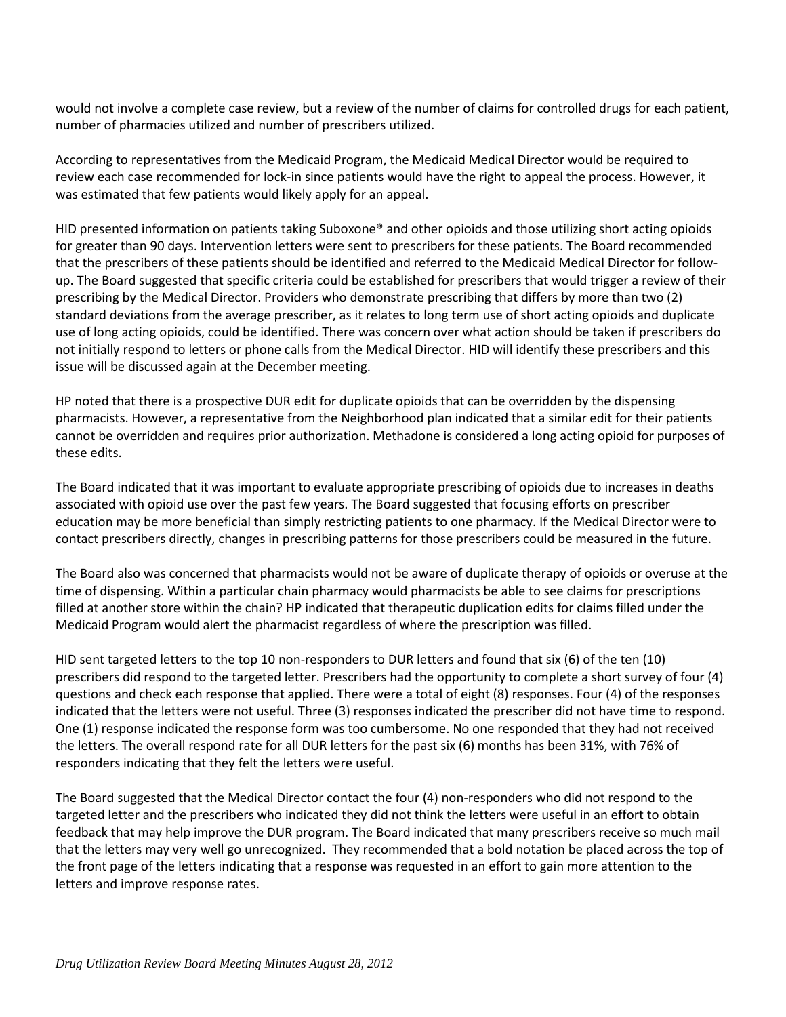would not involve a complete case review, but a review of the number of claims for controlled drugs for each patient, number of pharmacies utilized and number of prescribers utilized.

According to representatives from the Medicaid Program, the Medicaid Medical Director would be required to review each case recommended for lock-in since patients would have the right to appeal the process. However, it was estimated that few patients would likely apply for an appeal.

HID presented information on patients taking Suboxone® and other opioids and those utilizing short acting opioids for greater than 90 days. Intervention letters were sent to prescribers for these patients. The Board recommended that the prescribers of these patients should be identified and referred to the Medicaid Medical Director for followup. The Board suggested that specific criteria could be established for prescribers that would trigger a review of their prescribing by the Medical Director. Providers who demonstrate prescribing that differs by more than two (2) standard deviations from the average prescriber, as it relates to long term use of short acting opioids and duplicate use of long acting opioids, could be identified. There was concern over what action should be taken if prescribers do not initially respond to letters or phone calls from the Medical Director. HID will identify these prescribers and this issue will be discussed again at the December meeting.

HP noted that there is a prospective DUR edit for duplicate opioids that can be overridden by the dispensing pharmacists. However, a representative from the Neighborhood plan indicated that a similar edit for their patients cannot be overridden and requires prior authorization. Methadone is considered a long acting opioid for purposes of these edits.

The Board indicated that it was important to evaluate appropriate prescribing of opioids due to increases in deaths associated with opioid use over the past few years. The Board suggested that focusing efforts on prescriber education may be more beneficial than simply restricting patients to one pharmacy. If the Medical Director were to contact prescribers directly, changes in prescribing patterns for those prescribers could be measured in the future.

The Board also was concerned that pharmacists would not be aware of duplicate therapy of opioids or overuse at the time of dispensing. Within a particular chain pharmacy would pharmacists be able to see claims for prescriptions filled at another store within the chain? HP indicated that therapeutic duplication edits for claims filled under the Medicaid Program would alert the pharmacist regardless of where the prescription was filled.

HID sent targeted letters to the top 10 non-responders to DUR letters and found that six (6) of the ten (10) prescribers did respond to the targeted letter. Prescribers had the opportunity to complete a short survey of four (4) questions and check each response that applied. There were a total of eight (8) responses. Four (4) of the responses indicated that the letters were not useful. Three (3) responses indicated the prescriber did not have time to respond. One (1) response indicated the response form was too cumbersome. No one responded that they had not received the letters. The overall respond rate for all DUR letters for the past six (6) months has been 31%, with 76% of responders indicating that they felt the letters were useful.

The Board suggested that the Medical Director contact the four (4) non-responders who did not respond to the targeted letter and the prescribers who indicated they did not think the letters were useful in an effort to obtain feedback that may help improve the DUR program. The Board indicated that many prescribers receive so much mail that the letters may very well go unrecognized. They recommended that a bold notation be placed across the top of the front page of the letters indicating that a response was requested in an effort to gain more attention to the letters and improve response rates.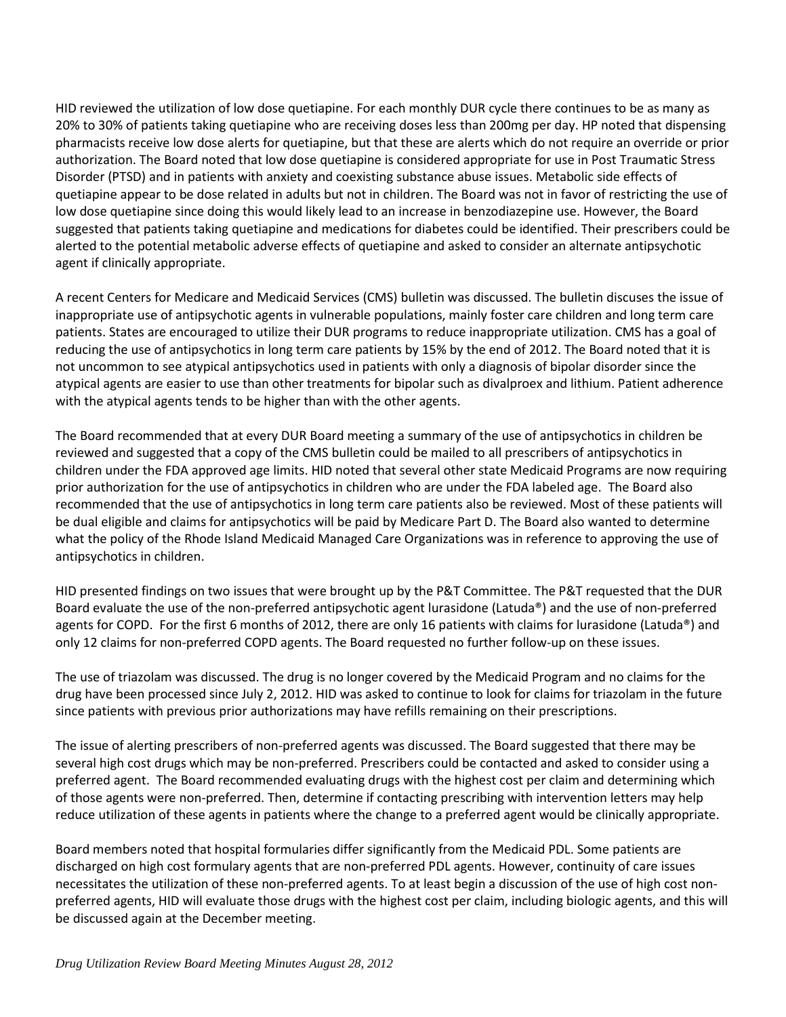HID reviewed the utilization of low dose quetiapine. For each monthly DUR cycle there continues to be as many as 20% to 30% of patients taking quetiapine who are receiving doses less than 200mg per day. HP noted that dispensing pharmacists receive low dose alerts for quetiapine, but that these are alerts which do not require an override or prior authorization. The Board noted that low dose quetiapine is considered appropriate for use in Post Traumatic Stress Disorder (PTSD) and in patients with anxiety and coexisting substance abuse issues. Metabolic side effects of quetiapine appear to be dose related in adults but not in children. The Board was not in favor of restricting the use of low dose quetiapine since doing this would likely lead to an increase in benzodiazepine use. However, the Board suggested that patients taking quetiapine and medications for diabetes could be identified. Their prescribers could be alerted to the potential metabolic adverse effects of quetiapine and asked to consider an alternate antipsychotic agent if clinically appropriate.

A recent Centers for Medicare and Medicaid Services (CMS) bulletin was discussed. The bulletin discuses the issue of inappropriate use of antipsychotic agents in vulnerable populations, mainly foster care children and long term care patients. States are encouraged to utilize their DUR programs to reduce inappropriate utilization. CMS has a goal of reducing the use of antipsychotics in long term care patients by 15% by the end of 2012. The Board noted that it is not uncommon to see atypical antipsychotics used in patients with only a diagnosis of bipolar disorder since the atypical agents are easier to use than other treatments for bipolar such as divalproex and lithium. Patient adherence with the atypical agents tends to be higher than with the other agents.

The Board recommended that at every DUR Board meeting a summary of the use of antipsychotics in children be reviewed and suggested that a copy of the CMS bulletin could be mailed to all prescribers of antipsychotics in children under the FDA approved age limits. HID noted that several other state Medicaid Programs are now requiring prior authorization for the use of antipsychotics in children who are under the FDA labeled age. The Board also recommended that the use of antipsychotics in long term care patients also be reviewed. Most of these patients will be dual eligible and claims for antipsychotics will be paid by Medicare Part D. The Board also wanted to determine what the policy of the Rhode Island Medicaid Managed Care Organizations was in reference to approving the use of antipsychotics in children.

HID presented findings on two issues that were brought up by the P&T Committee. The P&T requested that the DUR Board evaluate the use of the non-preferred antipsychotic agent lurasidone (Latuda®) and the use of non-preferred agents for COPD. For the first 6 months of 2012, there are only 16 patients with claims for lurasidone (Latuda®) and only 12 claims for non-preferred COPD agents. The Board requested no further follow-up on these issues.

The use of triazolam was discussed. The drug is no longer covered by the Medicaid Program and no claims for the drug have been processed since July 2, 2012. HID was asked to continue to look for claims for triazolam in the future since patients with previous prior authorizations may have refills remaining on their prescriptions.

The issue of alerting prescribers of non-preferred agents was discussed. The Board suggested that there may be several high cost drugs which may be non-preferred. Prescribers could be contacted and asked to consider using a preferred agent. The Board recommended evaluating drugs with the highest cost per claim and determining which of those agents were non-preferred. Then, determine if contacting prescribing with intervention letters may help reduce utilization of these agents in patients where the change to a preferred agent would be clinically appropriate.

Board members noted that hospital formularies differ significantly from the Medicaid PDL. Some patients are discharged on high cost formulary agents that are non-preferred PDL agents. However, continuity of care issues necessitates the utilization of these non-preferred agents. To at least begin a discussion of the use of high cost nonpreferred agents, HID will evaluate those drugs with the highest cost per claim, including biologic agents, and this will be discussed again at the December meeting.